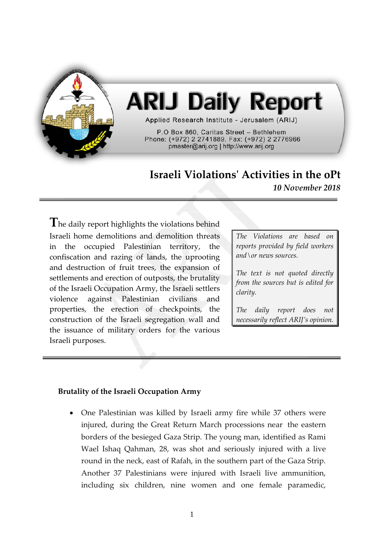

## **ARIJ Daily Report**

Applied Research Institute - Jerusalem (ARIJ)

P.O Box 860, Caritas Street - Bethlehem Phone: (+972) 2 2741889, Fax: (+972) 2 2776966 pmaster@arij.org | http://www.arij.org

## **Israeli Violations' Activities in the oPt**

*10 November 2018*

**T**he daily report highlights the violations behind Israeli home demolitions and demolition threats in the occupied Palestinian territory, the confiscation and razing of lands, the uprooting and destruction of fruit trees, the expansion of settlements and erection of outposts, the brutality of the Israeli Occupation Army, the Israeli settlers violence against Palestinian civilians and properties, the erection of checkpoints, the construction of the Israeli segregation wall and the issuance of military orders for the various Israeli purposes.

*The Violations are based on reports provided by field workers and\or news sources.*

*The text is not quoted directly from the sources but is edited for clarity.*

*The daily report does not necessarily reflect ARIJ's opinion.*

## **Brutality of the Israeli Occupation Army**

• One Palestinian was killed by Israeli army fire while 37 others were injured, during the Great Return March processions near the eastern borders of the besieged Gaza Strip. The young man, identified as Rami Wael Ishaq Qahman, 28, was shot and seriously injured with a live round in the neck, east of Rafah, in the southern part of the Gaza Strip. Another 37 Palestinians were injured with Israeli live ammunition, including six children, nine women and one female paramedic,